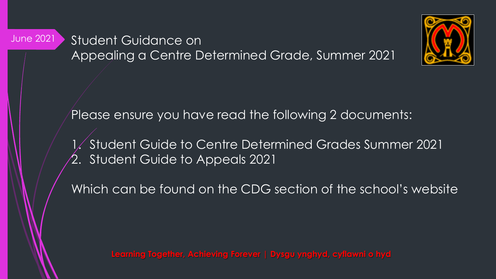Student Guidance on Appealing a Centre Determined Grade, Summer 2021

June 2021



Please ensure you have read the following 2 documents:

1. Student Guide to Centre Determined Grades Summer 2021 2. Student Guide to Appeals 2021

Which can be found on the CDG section of the school's website

**Learning Together, Achieving Forever | Dysgu ynghyd, cyflawni o hyd**